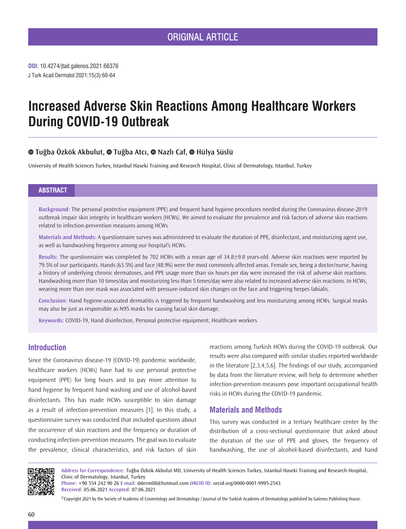# **Increased Adverse Skin Reactions Among Healthcare Workers During COVID-19 Outbreak**

# **Tuğba Özkök Akbulut,Tuğba Atcı,Nazlı Caf,Hülya Süslü**

University of Health Sciences Turkey, Istanbul Haseki Training and Research Hospital, Clinic of Dermatology, Istanbul, Turkey

#### **ABSTRACT**

**Background:** The personal protective equipment (PPE) and frequent hand hygiene procedures needed during the Coronavirus disease-2019 outbreak impair skin integrity in healthcare workers (HCWs). We aimed to evaluate the prevalence and risk factors of adverse skin reactions related to infection-prevention measures among HCWs

**Materials and Methods:** A questionnaire survey was administered to evaluate the duration of PPE, disinfectant, and moisturizing agent use, as well as handwashing frequency among our hospital's HCWs.

**Results:** The questionnaire was completed by 702 HCWs with a mean age of 34.8±9.8 years-old. Adverse skin reactions were reported by 79.5% of our participants. Hands (63.5%) and face (48.9%) were the most commonly affected areas. Female sex, being a doctor/nurse, having a history of underlying chronic dermatoses, and PPE usage more than six hours per day were increased the risk of adverse skin reactions. Handwashing more than 10 times/day and moisturizing less than 5 times/day were also related to increased adverse skin reactions. In HCWs, wearing more than one mask was associated with pressure-induced skin changes on the face and triggering herpes labialis.

**Conclusion:** Hand hygiene-associated dermatitis is triggered by frequent handwashing and less moisturizing among HCWs. Surgical masks may also be just as responsible as N95 masks for causing facial skin damage.

**Keywords:** COVID-19, Hand disinfection, Personal protective equipment, Healthcare workers

## **Introduction**

Since the Coronavirus disease-19 (COVID-19) pandemic worldwide, healthcare workers (HCWs) have had to use personal protective equipment (PPE) for long hours and to pay more attention to hand hygiene by frequent hand washing and use of alcohol-based disinfectants. This has made HCWs susceptible to skin damage as a result of infection-prevention measures [1]. In this study, a questionnaire survey was conducted that included questions about the occurrence of skin reactions and the frequency or duration of conducting infection-prevention measures. The goal was to evaluate the prevalence, clinical characteristics, and risk factors of skin

reactions among Turkish HCWs during the COVID-19 outbreak. Our results were also compared with similar studies reported worldwide in the literature [2,3,4,5,6]. The findings of our study, accompanied by data from the literature review, will help to determine whether infection-prevention measures pose important occupational health risks in HCWs during the COVID-19 pandemic.

### **Materials and Methods**

This survey was conducted in a tertiary healthcare center by the distribution of a cross-sectional questionnaire that asked about the duration of the use of PPE and gloves, the frequency of handwashing, the use of alcohol-based disinfectants, and hand



**Address for Correspondence:** Tuğba Özkök Akbulut MD, University of Health Sciences Turkey, Istanbul Haseki Training and Research Hospital, Clinic of Dermatology, Istanbul, Turkey

**Phone:** +90 554 242 90 26 **E-mail:** dderm08@hotmail.com **ORCID ID:** orcid.org/0000-0001-9995-2543 **Received:** 05.06.2021 **Accepted:** 07.06.2021

©Copyright 2021 by the Society of Academy of Cosmetology and Dermatology / Journal of the Turkish Academy of Dermatology published by Galenos Publishing House.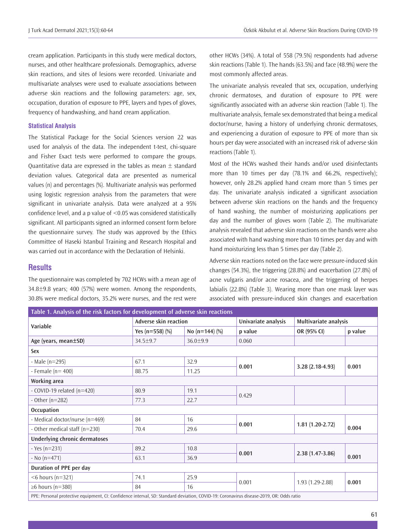cream application. Participants in this study were medical doctors, nurses, and other healthcare professionals. Demographics, adverse skin reactions, and sites of lesions were recorded. Univariate and multivariate analyses were used to evaluate associations between adverse skin reactions and the following parameters: age, sex, occupation, duration of exposure to PPE, layers and types of gloves, frequency of handwashing, and hand cream application.

#### **Statistical Analysis**

The Statistical Package for the Social Sciences version 22 was used for analysis of the data. The independent t-test, chi-square and Fisher Exact tests were performed to compare the groups. Quantitative data are expressed in the tables as mean  $\pm$  standard deviation values. Categorical data are presented as numerical values (n) and percentages (%). Multivariate analysis was performed using logistic regression analysis from the parameters that were significant in univariate analysis. Data were analyzed at a 95% confidence level, and a p value of <0.05 was considered statistically significant. All participants signed an informed consent form before the questionnaire survey. The study was approved by the Ethics Committee of Haseki Istanbul Training and Research Hospital and was carried out in accordance with the Declaration of Helsinki.

#### **Results**

The questionnaire was completed by 702 HCWs with a mean age of 34.8±9.8 years; 400 (57%) were women. Among the respondents, 30.8% were medical doctors, 35.2% were nurses, and the rest were other HCWs (34%). A total of 558 (79.5%) respondents had adverse skin reactions (Table 1). The hands (63.5%) and face (48.9%) were the most commonly affected areas.

The univariate analysis revealed that sex, occupation, underlying chronic dermatoses, and duration of exposure to PPE were significantly associated with an adverse skin reaction (Table 1). The multivariate analysis, female sex demonstrated that being a medical doctor/nurse, having a history of underlying chronic dermatoses, and experiencing a duration of exposure to PPE of more than six hours per day were associated with an increased risk of adverse skin reactions (Table 1).

Most of the HCWs washed their hands and/or used disinfectants more than 10 times per day (78.1% and 66.2%, respectively); however, only 28.2% applied hand cream more than 5 times per day. The univariate analysis indicated a significant association between adverse skin reactions on the hands and the frequency of hand washing, the number of moisturizing applications per day and the number of gloves worn (Table 2). The multivariate analysis revealed that adverse skin reactions on the hands were also associated with hand washing more than 10 times per day and with hand moisturizing less than 5 times per day (Table 2).

Adverse skin reactions noted on the face were pressure-induced skin changes (54.3%), the triggering (28.8%) and exacerbation (27.8%) of acne vulgaris and/or acne rosacea, and the triggering of herpes labialis (22.8%) (Table 3). Wearing more than one mask layer was associated with pressure-induced skin changes and exacerbation

| Table 1. Analysis of the risk factors for development of adverse skin reactions                                                         |                     |                       |         |                       |         |  |  |
|-----------------------------------------------------------------------------------------------------------------------------------------|---------------------|-----------------------|---------|-----------------------|---------|--|--|
| Variable                                                                                                                                |                     | Adverse skin reaction |         | Multivariate analysis |         |  |  |
|                                                                                                                                         | Yes ( $n=558$ ) (%) | No $(n=144)$ $(\%)$   | p value | OR (95% CI)           | p value |  |  |
| Age (years, mean±SD)                                                                                                                    | 34.5±9.7            | $36.0 + 9.9$          | 0.060   |                       |         |  |  |
| Sex                                                                                                                                     |                     |                       |         |                       |         |  |  |
| - Male $(n=295)$                                                                                                                        | 67.1                | 32.9                  |         | $3.28(2.18-4.93)$     | 0.001   |  |  |
| - Female ( $n = 400$ )                                                                                                                  | 88.75               | 11.25                 | 0.001   |                       |         |  |  |
| Working area                                                                                                                            |                     |                       |         |                       |         |  |  |
| - COVID-19 related $(n=420)$                                                                                                            | 80.9                | 19.1                  | 0.429   |                       |         |  |  |
| - Other $(n=282)$                                                                                                                       | 77.3                | 22.7                  |         |                       |         |  |  |
| <b>Occupation</b>                                                                                                                       |                     |                       |         |                       |         |  |  |
| - Medical doctor/nurse (n=469)                                                                                                          | 84                  | 16                    | 0.001   | $1.81(1.20-2.72)$     |         |  |  |
| - Other medical staff (n=230)                                                                                                           | 70.4                | 29.6                  |         |                       | 0.004   |  |  |
| <b>Underlying chronic dermatoses</b>                                                                                                    |                     |                       |         |                       |         |  |  |
| $-$ Yes (n=231)                                                                                                                         | 89.2                | 10.8                  |         | $2.38(1.47-3.86)$     |         |  |  |
| $-$ No (n=471)                                                                                                                          | 63.1                | 36.9                  | 0.001   |                       | 0.001   |  |  |
| Duration of PPE per day                                                                                                                 |                     |                       |         |                       |         |  |  |
| $<$ 6 hours (n=321)                                                                                                                     | 74.1                | 25.9                  | 0.001   |                       | 0.001   |  |  |
| $\geq 6$ hours (n=380)                                                                                                                  | 84                  | 16                    |         | $1.93(1.29-2.88)$     |         |  |  |
| PPE: Personal protective equipment, CI: Confidence interval, SD: Standard deviation, COVID-19: Coronavirus disease-2019, OR: Odds ratio |                     |                       |         |                       |         |  |  |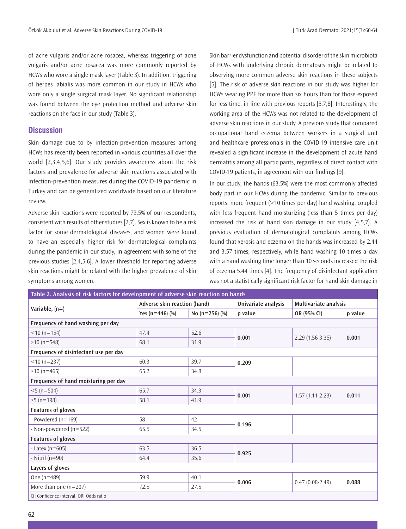of acne vulgaris and/or acne rosacea, whereas triggering of acne vulgaris and/or acne rosacea was more commonly reported by HCWs who wore a single mask layer (Table 3). In addition, triggering of herpes labialis was more common in our study in HCWs who wore only a single surgical mask layer. No significant relationship was found between the eye protection method and adverse skin reactions on the face in our study (Table 3).

#### **Discussion**

Skin damage due to by infection-prevention measures among HCWs has recently been reported in various countries all over the world [2,3,4,5,6]. Our study provides awareness about the risk factors and prevalence for adverse skin reactions associated with infection-prevention measures during the COVID-19 pandemic in Turkey and can be generalized worldwide based on our literature review.

Adverse skin reactions were reported by 79.5% of our respondents, consistent with results of other studies [2,7]. Sex is known to be a risk factor for some dermatological diseases, and women were found to have an especially higher risk for dermatological complaints during the pandemic in our study, in agreement with some of the previous studies [2,4,5,6]. A lower threshold for reporting adverse skin reactions might be related with the higher prevalence of skin symptoms among women.

Skin barrier dysfunction and potential disorder of the skin microbiota of HCWs with underlying chronic dermatoses might be related to observing more common adverse skin reactions in these subjects [5]. The risk of adverse skin reactions in our study was higher for HCWs wearing PPE for more than six hours than for those exposed for less time, in line with previous reports [5,7,8]. Interestingly, the working area of the HCWs was not related to the development of adverse skin reactions in our study. A previous study that compared occupational hand eczema between workers in a surgical unit and healthcare professionals in the COVID-19 intensive care unit revealed a significant increase in the development of acute hand dermatitis among all participants, regardless of direct contact with COVID-19 patients, in agreement with our findings [9].

In our study, the hands (63.5%) were the most commonly affected body part in our HCWs during the pandemic. Similar to previous reports, more frequent (>10 times per day) hand washing, coupled with less frequent hand moisturizing (less than 5 times per day) increased the risk of hand skin damage in our study [4,5,7]. A previous evaluation of dermatological complaints among HCWs found that xerosis and eczema on the hands was increased by 2.44 and 3.57 times, respectively, while hand washing 10 times a day with a hand washing time longer than 10 seconds increased the risk of eczema 5.44 times [4]. The frequency of disinfectant application was not a statistically significant risk factor for hand skin damage in

| Table 2. Analysis of risk factors for development of adverse skin reaction on hands |                              |                    |                                              |                   |         |  |  |  |
|-------------------------------------------------------------------------------------|------------------------------|--------------------|----------------------------------------------|-------------------|---------|--|--|--|
| Variable, $(n=)$                                                                    | Adverse skin reaction (hand) |                    | Univariate analysis<br>Multivariate analysis |                   |         |  |  |  |
|                                                                                     | Yes (n=446) $(\%)$           | No ( $n=256$ ) (%) | p value                                      | OR (95% CI)       | p value |  |  |  |
| Frequency of hand washing per day                                                   |                              |                    |                                              |                   |         |  |  |  |
| $<$ 10 (n=154)                                                                      | 47.4                         | 52.6               | 0.001                                        | $2.29(1.56-3.35)$ | 0.001   |  |  |  |
| $\geq$ 10 (n=548)                                                                   | 68.1                         | 31.9               |                                              |                   |         |  |  |  |
| Frequency of disinfectant use per day                                               |                              |                    |                                              |                   |         |  |  |  |
| $<$ 10 (n=237)                                                                      | 60.3                         | 39.7               | 0.209                                        |                   |         |  |  |  |
| $\geq$ 10 (n=465)                                                                   | 65.2                         | 34.8               |                                              |                   |         |  |  |  |
| Frequency of hand moisturing per day                                                |                              |                    |                                              |                   |         |  |  |  |
| $<$ 5 (n=504)                                                                       | 65.7                         | 34.3               | 0.001                                        |                   | 0.011   |  |  |  |
| $≥5$ (n=198)                                                                        | 58.1                         | 41.9               |                                              | $1.57(1.11-2.23)$ |         |  |  |  |
| Features of gloves                                                                  |                              |                    |                                              |                   |         |  |  |  |
| - Powdered $(n=169)$                                                                | 58                           | 42                 | 0.196                                        |                   |         |  |  |  |
| - Non-powdered (n=522)                                                              | 65.5                         | 34.5               |                                              |                   |         |  |  |  |
| <b>Features of gloves</b>                                                           |                              |                    |                                              |                   |         |  |  |  |
| - Latex ( $n=605$ )                                                                 | 63.5                         | 36.5               | 0.925                                        |                   |         |  |  |  |
| - Nitril $(n=90)$                                                                   | 64.4                         | 35.6               |                                              |                   |         |  |  |  |
| Layers of gloves                                                                    |                              |                    |                                              |                   |         |  |  |  |
| One $(n=489)$                                                                       | 59.9                         | 40.1               | 0.006                                        | $0.47(0.08-2.49)$ | 0.088   |  |  |  |
| More than one $(n=207)$                                                             | 72.5                         | 27.5               |                                              |                   |         |  |  |  |
| CI: Confidence interval, OR: Odds ratio                                             |                              |                    |                                              |                   |         |  |  |  |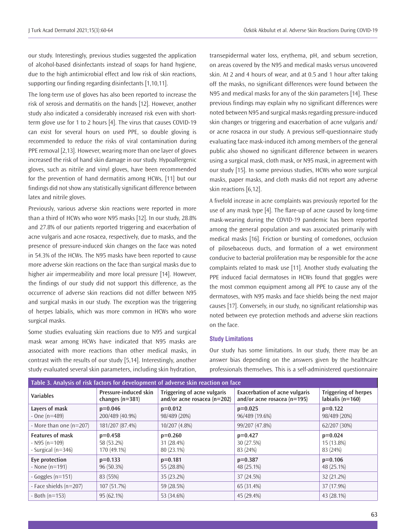our study. Interestingly, previous studies suggested the application of alcohol-based disinfectants instead of soaps for hand hygiene, due to the high antimicrobial effect and low risk of skin reactions, supporting our finding regarding disinfectants [1,10,11].

The long-term use of gloves has also been reported to increase the risk of xerosis and dermatitis on the hands [12]. However, another study also indicated a considerably increased risk even with shortterm glove use for 1 to 2 hours [4]. The virus that causes COVID-19 can exist for several hours on used PPE, so double gloving is recommended to reduce the risks of viral contamination during PPE removal [2,13]. However, wearing more than one layer of gloves increased the risk of hand skin damage in our study. Hypoallergenic gloves, such as nitrile and vinyl gloves, have been recommended for the prevention of hand dermatitis among HCWs, [11] but our findings did not show any statistically significant difference between latex and nitrile gloves.

Previously, various adverse skin reactions were reported in more than a third of HCWs who wore N95 masks [12]. In our study, 28.8% and 27.8% of our patients reported triggering and exacerbation of acne vulgaris and acne rosacea, respectively, due to masks, and the presence of pressure-induced skin changes on the face was noted in 54.3% of the HCWs. The N95 masks have been reported to cause more adverse skin reactions on the face than surgical masks due to higher air impermeability and more local pressure [14]. However, the findings of our study did not support this difference, as the occurrence of adverse skin reactions did not differ between N95 and surgical masks in our study. The exception was the triggering of herpes labialis, which was more common in HCWs who wore surgical masks.

Some studies evaluating skin reactions due to N95 and surgical mask wear among HCWs have indicated that N95 masks are associated with more reactions than other medical masks, in contrast with the results of our study [5,14]. Interestingly, another study evaluated several skin parameters, including skin hydration,

transepidermal water loss, erythema, pH, and sebum secretion, on areas covered by the N95 and medical masks versus uncovered skin. At 2 and 4 hours of wear, and at 0.5 and 1 hour after taking off the masks, no significant differences were found between the N95 and medical masks for any of the skin parameters [14]. These previous findings may explain why no significant differences were noted between N95 and surgical masks regarding pressure-induced skin changes or triggering and exacerbation of acne vulgaris and/ or acne rosacea in our study. A previous self-questionnaire study evaluating face mask-induced itch among members of the general public also showed no significant difference between in wearers using a surgical mask, cloth mask, or N95 mask, in agreement with our study [15]. In some previous studies, HCWs who wore surgical masks, paper masks, and cloth masks did not report any adverse skin reactions [6,12].

A fivefold increase in acne complaints was previously reported for the use of any mask type [4]. The flare-up of acne caused by long-time mask-wearing during the COVID-19 pandemic has been reported among the general population and was associated primarily with medical masks [16]. Friction or bursting of comedones, occlusion of pilosebaceous ducts, and formation of a wet environment conducive to bacterial proliferation may be responsible for the acne complaints related to mask use [11]. Another study evaluating the PPE induced facial dermatoses in HCWs found that goggles were the most common equipment among all PPE to cause any of the dermatoses, with N95 masks and face shields being the next major causes [17]. Conversely, in our study, no significant relationship was noted between eye protection methods and adverse skin reactions on the face.

#### **Study Limitations**

Our study has some limitations. In our study, there may be an answer bias depending on the answers given by the healthcare professionals themselves. This is a self-administered questionnaire

| Table 3. Analysis of risk factors for development of adverse skin reaction on face |                                            |                                                                |                                                                         |                                                     |  |  |  |  |
|------------------------------------------------------------------------------------|--------------------------------------------|----------------------------------------------------------------|-------------------------------------------------------------------------|-----------------------------------------------------|--|--|--|--|
| <b>Variables</b>                                                                   | Pressure-induced skin<br>changes $(n=381)$ | Triggering of acne vulgaris<br>and/or acne rosacea ( $n=202$ ) | <b>Exacerbation of acne vulgaris</b><br>and/or acne rosacea ( $n=195$ ) | <b>Triggering of herpes</b><br>labialis ( $n=160$ ) |  |  |  |  |
| Layers of mask<br>$-$ One (n=489)                                                  | $p=0.046$<br>200/489 (40.9%)               | $p=0.012$<br>98/489 (20%)                                      | $p=0.025$<br>96/489 (19.6%)                                             | $p=0.122$<br>98/489 (20%)                           |  |  |  |  |
| - More than one $(n=207)$                                                          | 181/207 (87.4%)                            | 10/207 (4.8%)                                                  | 99/207 (47.8%)                                                          | 62/207 (30%)                                        |  |  |  |  |
| <b>Features of mask</b><br>$-$ N95 (n=109)<br>- Surgical (n=346)                   | $p=0.458$<br>58 (53.2%)<br>170 (49.1%)     | $p=0.260$<br>31 (28.4%)<br>80 (23.1%)                          | $p=0.427$<br>30 (27.5%)<br>83 (24%)                                     | $p=0.024$<br>15 (13.8%)<br>83 (24%)                 |  |  |  |  |
| Eve protection<br>- None $(n=191)$                                                 | $p=0.133$<br>96 (50.3%)                    | $p=0.181$<br>55 (28.8%)                                        | $p=0.387$<br>48 (25.1%)                                                 | $p=0.106$<br>48 (25.1%)                             |  |  |  |  |
| - Goggles $(n=151)$                                                                | 83 (55%)                                   | 35 (23.2%)                                                     | 37 (24.5%)                                                              | 32 (21.2%)                                          |  |  |  |  |
| - Face shields (n=207)                                                             | 107 (51.7%)                                | 59 (28.5%)                                                     | 65 (31.4%)                                                              | 37 (17.9%)                                          |  |  |  |  |
| $-$ Both (n=153)                                                                   | 95 (62.1%)                                 | 53 (34.6%)                                                     | 45 (29.4%)                                                              | 43 (28.1%)                                          |  |  |  |  |